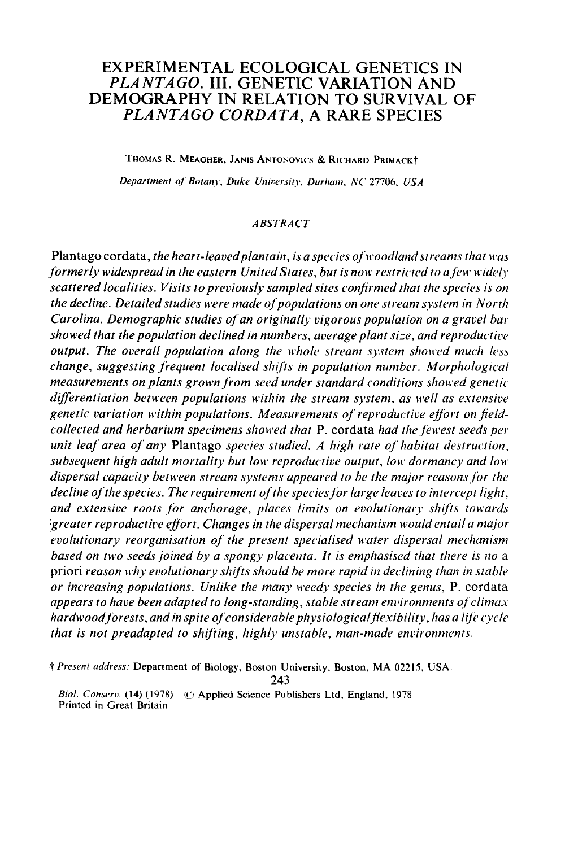# **EXPERIMENTAL ECOLOGICAL GENETICS IN**  *PLANTAGO.* **III. GENETIC VARIATION AND DEMOGRAPHY IN RELATION TO SURVIVAL OF**  *PLANTAGO CORDATA,* **A RARE SPECIES**

THOMAS R. MEAGHER, JANIS ANTONOVICS & RICHARD PRIMACK<sup>†</sup>

*Department of Botany, Duke University, Durham, NC 27706, USA* 

# *ABSTRACT*

Plantago cordata, *the heart-leaved plantain, is a species of woodland streams that was formerly widespread in the eastern United States, but is now restricted to a few widely scattered localities. Visits to previously sampled sites confirmed that the species is on the decline. Detailed studies were made of populations on one stream system in North Carolina. Demographie studies of an originally vigorous population on a gravel bar showed that the population declined in numbers, average plant size, and reproductive output. The overall population along the whole stream system showed much less change, suggesting frequent localised shifts in population number. Morphological measurements on plants grown Jrom seed under standard conditions showed genetic differentiation between populations within the stream system, as well as extensive*  genetic variation within populations. Measurements of reproductive effort on field*collected and herbarium specimens showed that* P. cordata *had the fewest seeds per unit leaf area of any* Plantago *species studied. A high rate of habitat destruction, subsequent high adult mortality but low reproductive output, low dormancy and low*  dispersal capacity between stream systems appeared to be the major reasons for the decline of the species. The requirement of the species for large leaves to intercept light, and extensive roots for anchorage, places limits on evolutionary shifts towards *greater reproductive effort. Changes in the dispersal mechanism would entail a major evolutionary reorganisation of the present speeialised water dispersal mechanism based on two seeds joined by a spongy placenta. It is emphasised that there is no a*  priori *reason why evolutionary shifts should be more rapid in declining than in stable or increasing populations. Unlike the man), weedy species in the genus,* P. cordata *appears to have been adapted to long-standing, stable stream environments oj climax*  hardwood forests, and in spite of considerable physiological flexibility, has a life cycle *that is not preadapted to shifting, highly unstable, man-made environments.* 

*t Present address:* **Department of Biology, Boston University, Boston, MA 02215, USA.** 

**243** 

*Biol. Conserv.* (14) (1978)---  $\circledcirc$  Applied Science Publishers Ltd, England, 1978 **Printed in Great Britain**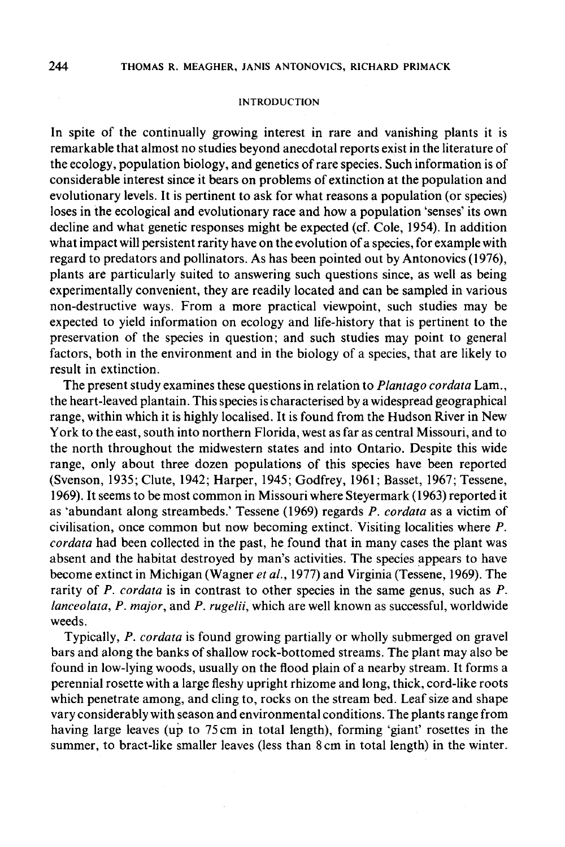#### INTRODUCTION

In spite of the continually growing interest in rare and vanishing plants it is remarkable that almost no studies beyond anecdotal reports exist in the literature of the ecology, population biology, and genetics of rare species. Such information is of considerable interest since it bears on problems of extinction at the population and evolutionary levels. It is pertinent to ask for what reasons a population (or species) loses in the ecological and evolutionary race and how a population 'senses' its own decline and what genetic responses might be expected (cf. Cole, 1954). In addition what impact will persistent rarity have on the evolution of a species, for example with regard to predators and pollinators. As has been pointed out by Antonovics (1976), plants are particularly suited to answering such questions since, as well as being experimentally convenient, they are readily located and can be sampled in various non-destructive ways. From a more practical viewpoint, such studies may be expected to yield information on ecology and life-history that is pertinent to the preservation of the species in question; and such studies may point to general factors, both in the environment and in the biology of a species, that are likely to result in extinction.

The present study examines these questions in relation to *Plantago cordata* Lam., the heart-leaved plantain. This species is characterised by a widespread geographical range, within which it is highly localised. It is found from the Hudson River in New York to the east, south into northern Florida, west as far as central Missouri, and to the north throughout the midwestern states and into Ontario. Despite this wide range, only about three dozen populations of this species have been reported (Svenson, 1935; Clute, 1942; Harper, 1945; Godfrey, 1961; Basset, 1967; Tessene, 1969). It seems to be most common in Missouri where Steyermark (1963) reported it as 'abundant along streambeds.' Tessene (1969) regards *P. cordata* as a victim of civilisation, once common but now becoming extinct. Visiting localities where P. *cordata* had been collected in the past, he found that in many cases the plant was absent and the habitat destroyed by man's activities. The species appears to have become extinct in Michigan (Wagner *et al.,* 1977) and Virginia (Tessene, 1969). The rarity of *P. cordata* is in contrast to other species in the same genus, such as P. *lanceolata, P. major,* and *P. rugelii,* which are well known as successful, worldwide weeds.

Typically, *P. cordata* is found growing partially or wholly submerged on gravel bars and along the banks of shallow rock-bottomed streams. The plant may also be found in low-lying woods, usually on the flood plain of a nearby stream. It forms a perennial rosette with a large fleshy upright rhizome and long, thick, cord-like roots which penetrate among, and cling to, rocks on the stream bed. Leaf size and shape vary considerably with season and environmental conditions. The plants range from having large leaves (up to 75 cm in total length), forming 'giant' rosettes in the summer, to bract-like smaller leaves (less than 8 cm in total length) in the winter.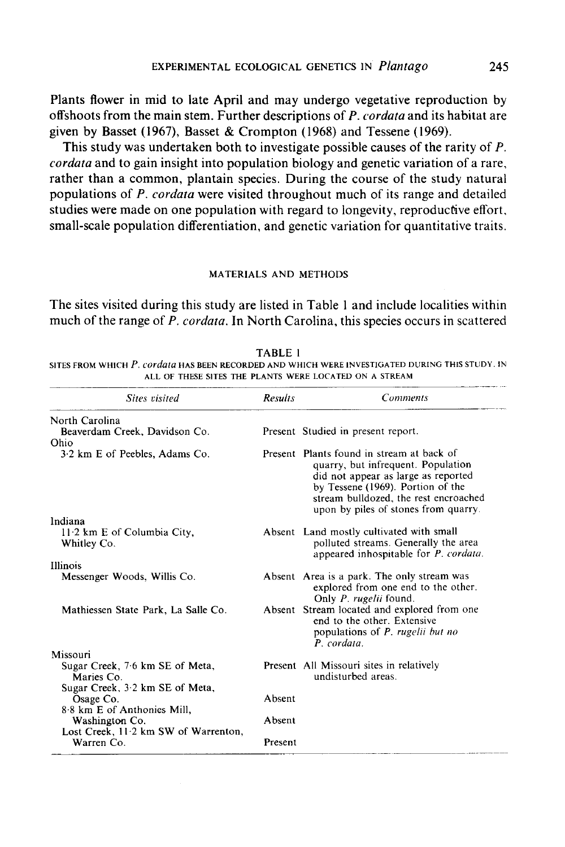**Plants flower in mid to late April and may undergo vegetative reproduction by offshoots from the main stem. Further descriptions of** *P. cordata* **and its habitat are given by Basset (1967), Basset & Crompton (1968) and Tessene (1969).** 

**This study was undertaken both to investigate possible causes of the rarity of P.**  *cordata* **and to gain insight into population biology and genetic variation of a rare, rather than a common, plantain species. During the course of the study natural populations of** *P. cordata* **were visited throughout much of its range and detailed studies were made on one population with regard to longevity, reproductive effort, small-scale population differentiation, and genetic variation for quantitative traits.** 

## MATERIALS AND METHODS

The sites visited during this study are listed in Table 1 and include localities within much of the range of *P. cordata.* In North Carolina, this species occurs in scattered

| Sites visited                                                                         | <b>Results</b> | <b>Comments</b>                                                                                                                                                                                                                              |
|---------------------------------------------------------------------------------------|----------------|----------------------------------------------------------------------------------------------------------------------------------------------------------------------------------------------------------------------------------------------|
| North Carolina                                                                        |                |                                                                                                                                                                                                                                              |
| Beaverdam Creek, Davidson Co.<br>Ohio                                                 |                | Present Studied in present report.                                                                                                                                                                                                           |
| 3.2 km E of Peebles, Adams Co.                                                        |                | Present Plants found in stream at back of<br>quarry, but infrequent. Population<br>did not appear as large as reported<br>by Tessene (1969). Portion of the<br>stream bulldozed, the rest encroached<br>upon by piles of stones from quarry. |
| Indiana                                                                               |                |                                                                                                                                                                                                                                              |
| $11.2 \text{ km} \to \text{C}$ Columbia City,<br>Whitley Co.                          |                | Absent Land mostly cultivated with small<br>polluted streams. Generally the area<br>appeared inhospitable for <i>P. cordata</i> .                                                                                                            |
| Illinois                                                                              |                |                                                                                                                                                                                                                                              |
| Messenger Woods, Willis Co.                                                           |                | Absent Area is a park. The only stream was<br>explored from one end to the other.<br>Only P. rugelii found.                                                                                                                                  |
| Mathiessen State Park, La Salle Co.                                                   |                | Absent Stream located and explored from one<br>end to the other. Extensive<br>populations of P. rugelii but no<br>P. cordata.                                                                                                                |
| Missouri                                                                              |                |                                                                                                                                                                                                                                              |
| Sugar Creek, 7.6 km SE of Meta,<br>Maries Co.                                         |                | Present All Missouri sites in relatively<br>undisturbed areas.                                                                                                                                                                               |
| Sugar Creek, 3.2 km SE of Meta,<br>Osage Co.                                          | Absent         |                                                                                                                                                                                                                                              |
| 8.8 km E of Anthonies Mill,<br>Washington Co.<br>Lost Creek, 11.2 km SW of Warrenton, | Absent         |                                                                                                                                                                                                                                              |
| Warren Co.                                                                            | Present        |                                                                                                                                                                                                                                              |

TABLE 1

SITES FROM WHICH *P. cordata* HAS BEEN RECORDED AND WHICH WERE INVESTIGATED DURING THIS STUDY. IN ALL OF THESE SITES THE PLANTS WERE LOCATED ON A STREAM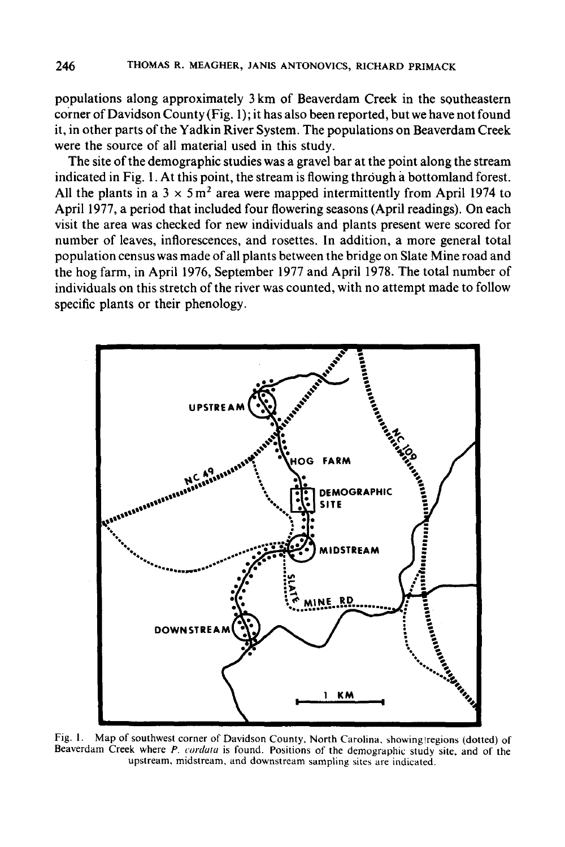populations along approximately 3 km of Beaverdam Creek in the southeastern corner of Davidson County (Fig. 1); it has also been reported, but we have not found it, in other parts of the Yadkin River System. The populations on Beaverdam Creek were the source of all material used in this study.

The site of the demographic studies was a gravel bar at the point along the stream indicated in Fig. 1. At this point, the stream is flowing through a bottomland forest. All the plants in a  $3 \times 5$  m<sup>2</sup> area were mapped intermittently from April 1974 to April 1977, a period that included four flowering seasons (April readings). On each visit the area was checked for new individuals and plants present were scored for number of leaves, inflorescences, and rosettes. In addition, a more general total population census was made of all plants between the bridge on Slate Mine road and the hog farm, in April 1976, September 1977 and April 1978. The total number of individuals on this stretch of the river was counted, with no attempt made to follow specific plants or their phenology.



Fig. 1. Map of southwest corner of Davidson County, North Carolina, showing regions (dotted) of Beaverdam Creek where *P. cordata* is found. Positions of the demographic study site, and of the upstream, midstream, and downstream sampling sites are indicated.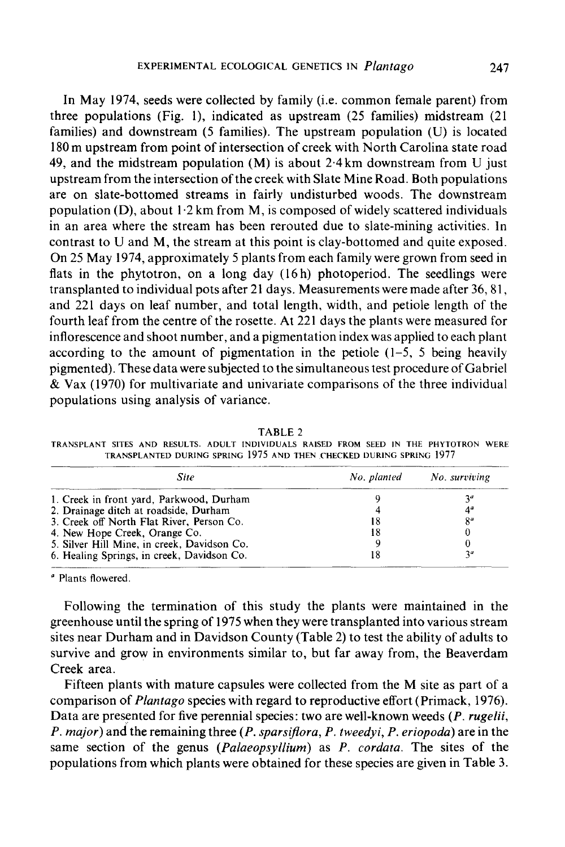In May 1974, seeds were collected by family (i.e. common female parent) from three populations (Fig. 1), indicated as upstream (25 families) midstream (21 families) and downstream (5 families). The upstream population (U) is located 180 m upstream from point of intersection of creek with North Carolina state road 49, and the midstream population (M) is about  $2.4 \text{ km}$  downstream from U just upstream from the intersection of the creek with Slate Mine Road. Both populations are on slate-bottomed streams in fairly undisturbed woods. The downstream population (D), about  $1.2 \text{ km from M}$ , is composed of widely scattered individuals in an area where the stream has been rerouted due to slate-mining activities. In contrast to U and M, the stream at this point is clay-bottomed and quite exposed. On 25 May 1974, approximately 5 plants from each family were grown from seed in flats in the phytotron, on a long day (16h) photoperiod. The seedlings were transplanted to individual pots after 21 days. Measurements were made after 36, 81, and 221 days on leaf number, and total length, width, and petiole length of the fourth leaf from the centre of the rosette. At 221 days the plants were measured for inflorescence and shoot number, and a pigmentation index was applied to each plant according to the amount of pigmentation in the petiole  $(1-5, 5)$  being heavily pigmented). These data were subjected to the simultaneous test procedure of Gabriel & Vax (1970) for multivariate and univariate comparisons of the three individual populations using analysis of variance.

| Site                                        | No. planted | No. surviving  |
|---------------------------------------------|-------------|----------------|
| 1. Creek in front yard, Parkwood, Durham    |             | ٦ª             |
| 2. Drainage ditch at roadside, Durham       |             | 4ª             |
| 3. Creek off North Flat River, Person Co.   | 18          | 8 <sup>a</sup> |
| 4. New Hope Creek, Orange Co.               | 18          |                |
| 5. Silver Hill Mine, in creek, Davidson Co. |             | 0              |
| 6. Healing Springs, in creek, Davidson Co.  |             | ٦u             |

TABLE 2

TRANSPLANT SITES AND RESULTS. ADULT INDIVIDUALS RAISED FROM SEED IN THE PHYTOTRON WERE TRANSPLANTED DURING SPRING 1975 AND THEN .CHECKED DURING SPRING 1977

<sup>a</sup> Plants flowered.

Following the termination of this study the plants were maintained in the greenhouse until the spring of 1975 when they were transplanted into various stream sites near Durham and in Davidson County (Table 2) to test the ability of adults to survive and grow in environments similar to, but far away from, the Beaverdam Creek area.

Fifteen plants with mature capsules were collected from the M site as part of a comparison *of Plantago* species with regard to reproductive effort (Primack, 1976). Data are presented for five perennial species: two are well-known weeds *(P. rugelii, P. major)* and the remaining three *( P. sparsiflora, P. tweedyi, P. eriopoda)* are in the same section of the genus *(Palaeopsyllium)* as *P. cordata.* The sites of the populations from which plants were obtained for these species are given in Table 3.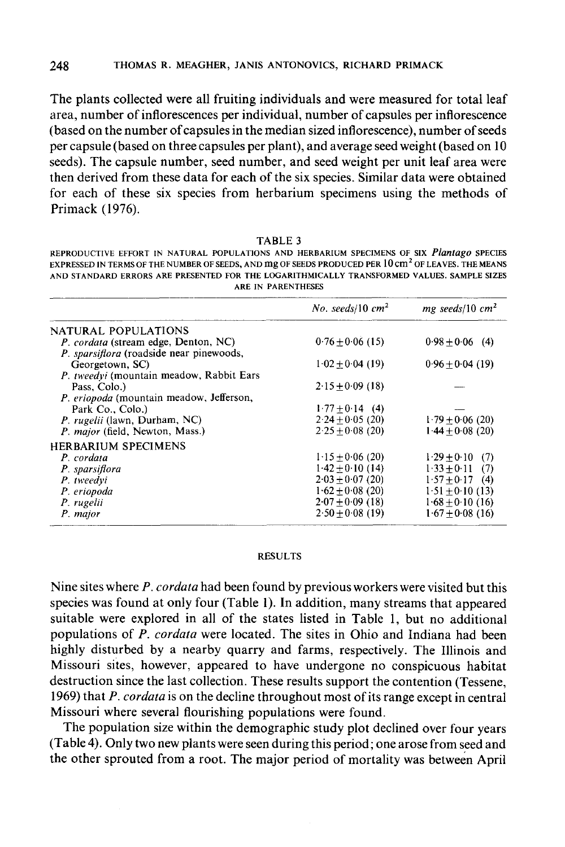**The plants collected were all fruiting individuals and were measured for total leaf area, number of inflorescences per individual, number of capsules per inflorescence (based on the number of capsules in the median sized inflorescence), number of seeds per capsule (based on three capsules per plant), and average seed weight (based on 10 seeds). The capsule number, seed number, and seed weight per unit leaf area were then derived from these data for each of the six species. Similar data were obtained for each of these six species from herbarium specimens using the methods of Primack (1976).** 

| ARE IN PARENTHESES                       |                      |                               |  |  |  |
|------------------------------------------|----------------------|-------------------------------|--|--|--|
|                                          | No. seeds/10 $cm2$   | $mg$ seeds/10 cm <sup>2</sup> |  |  |  |
| NATURAL POPULATIONS                      |                      |                               |  |  |  |
| P. cordata (stream edge, Denton, NC)     | $0.76 \pm 0.06$ (15) | $0.98 + 0.06$ (4)             |  |  |  |
| P. sparsiflora (roadside near pinewoods, |                      |                               |  |  |  |
| Georgetown, SC)                          | $1.02 + 0.04(19)$    | $0.96 + 0.04(19)$             |  |  |  |
| P. tweedyi (mountain meadow, Rabbit Ears |                      |                               |  |  |  |
| Pass, Colo.)                             | $2.15 \pm 0.09$ (18) |                               |  |  |  |
| P. eriopoda (mountain meadow, Jefferson, |                      |                               |  |  |  |
| Park Co., Colo.)                         | $1.77 + 0.14$ (4)    |                               |  |  |  |
| P. rugelii (lawn, Durham, NC)            | $2.24 + 0.05(20)$    | $1.79 + 0.06(20)$             |  |  |  |
| P. major (field, Newton, Mass.)          | $2.25 + 0.08(20)$    | $1.44 + 0.08(20)$             |  |  |  |
| HERBARIUM SPECIMENS                      |                      |                               |  |  |  |
| P. cordata                               | $1.15 + 0.06(20)$    | $1.29 + 0.10$ (7)             |  |  |  |
| P. sparsiflora                           | $1-42+0.10(14)$      | $1.33 + 0.11$ (7)             |  |  |  |
| P. tweedvi                               | $2.03 \pm 0.07$ (20) | $1.57 + 0.17$ (4)             |  |  |  |
| P. eriopoda                              | $1.62 \pm 0.08$ (20) | $1.51 + 0.10(13)$             |  |  |  |
| P. rugelii                               | $2.07 + 0.09(18)$    | $1.68 + 0.10(16)$             |  |  |  |
| P. major                                 | $2.50 \pm 0.08$ (19) | $1.67 + 0.08(16)$             |  |  |  |
|                                          |                      |                               |  |  |  |

### TABLE 3 **REPRODUCTIVE EFFORT IN NATURAL POPULATIONS AND HERBARIUM SPECIMENS OF SlX** *Plantago* **SPECIES EXPRESSED IN TERMS OF THE NUMBER OF SEEDS, AND mg OF SEEDS PRODUCED PER 10 cm 2 OF LEAVES. THE MEANS**

**AND STANDARD ERRORS ARE PRESENTED FOR THE LOGARITHMICALLY TRANSFORMED VALUES. SAMPLE SIZES** 

## **RESULTS**

**Nine sites where** *P. cordata* **had been found by previous workers were visited but this species was found at only four (Table 1). In addition, many streams that appeared suitable were explored in all of the states listed in Table 1, but no additional populations of** *P. cordata* **were located. The sites in Ohio and Indiana had been highly disturbed by a nearby quarry and farms, respectively. The Illinois and Missouri sites, however, appeared to have undergone no conspicuous habitat destruction since the last collection. These results support the contention (Tessene, 1969) that** *P. cordata* **is on the decline throughout most of its range except in central Missouri where several flourishing populations were found.** 

**The population size within the demographic study plot declined over four years (Table 4). Only two new plants were seen during this period; one arose from seed and the other sprouted from a root. The major period of mortality was between April**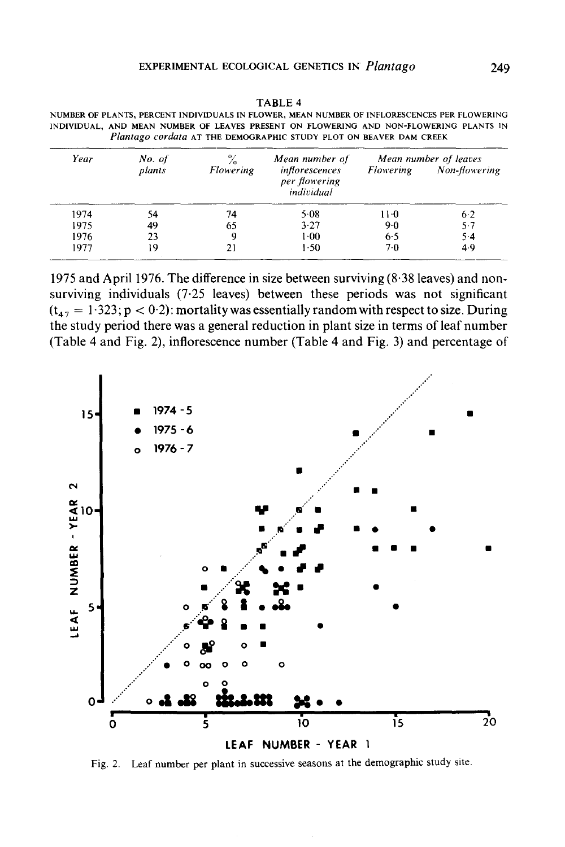| Year | $\%$<br>No. of |                  | Mean number of                                       | Mean number of leaves |               |  |
|------|----------------|------------------|------------------------------------------------------|-----------------------|---------------|--|
|      | plants         | <b>Flowering</b> | <i>inflorescences</i><br>per flowering<br>individual | <i>Flowering</i>      | Non-flowering |  |
| 1974 | 54             | 74               | 5.08                                                 | $11-0$                | 6.2           |  |
| 1975 | 49             | 65               | 3.27                                                 | $9-0$                 | $5-7$         |  |
| 1976 | 23             | g                | $1-00$                                               | 6.5                   | $5-4$         |  |
| 1977 | 19             |                  | 1.50                                                 | $7-0$                 | 4.9           |  |

TABLE **4**  NUMBER OF PLANTS, PERCENT INDIVIDUALS IN FLOWER, MEAN NUMBER OF INFLORESCENCES PER FLOWERING INDIVIDUAL, AND MEAN NUMBER OF LEAVES PRESENT ON FLOWERING AND NON-FLOWERING PLANTS IN *Plantago cordata* AT THE DEMOGRAPHIC STUDY PLOT ON BEAVER DAM CREEK

1975 and April 1976. The difference in size between surviving (8-38 leaves) and nonsurviving individuals (7.25 leaves) between these periods was not significant  $(t_{47} = 1.323; p < 0.2)$ : mortality was essentially random with respect to size. During the study period there was a general reduction in plant size in terms of leaf number (Table 4 and Fig. 2), inflorescence number (Table 4 and Fig. 3) and percentage of



Fig. 2. Leaf number per plant in successive seasons at the demographic study site.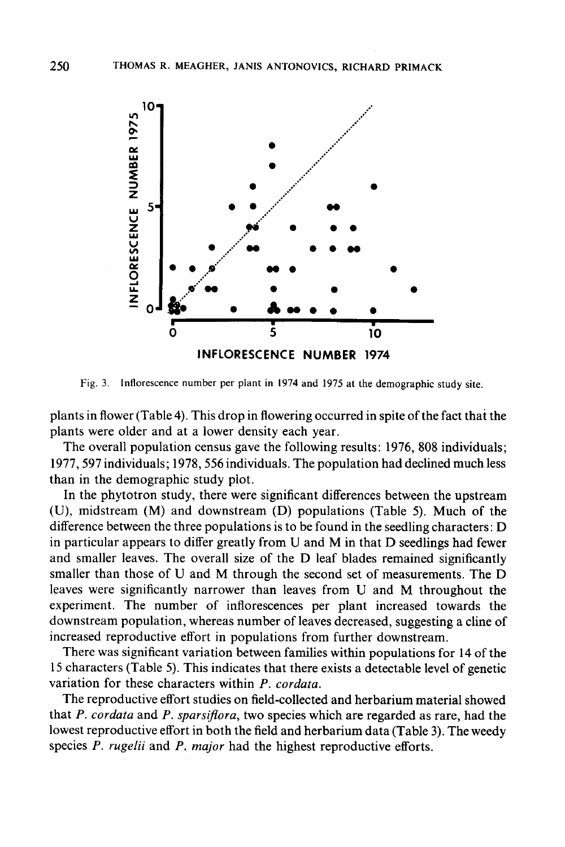

Fig. 3. Inflorescence number per plant in 1974 and 1975 at the demographic study site.

plants in flower (Table 4). This drop in flowering occurred in spite of the fact thai the plants were older and at a lower density each year.

The overall population census gave the following results: 1976, 808 individuals; 1977, 597 individuals; 1978, 556 individuals. The population had declined much less than in the demographic study plot.

In the phytotron study, there were significant differences between the upstream (U), midstream (M) and downstream (D) populations (Table 5). Much of the difference between the three populations is to be found in the seedling characters: D in particular appears to differ greatly from U and M in that D seedlings had fewer and smaller leaves. The overall size of the D leaf blades remained significantly smaller than those of U and M through the second set of measurements. The D leaves were significantly narrower than leaves from U and M throughout the experiment. The number of inflorescences per plant increased towards the downstream population, whereas number of leaves decreased, suggesting a cline of increased reproductive effort in populations from further downstream.

There was significant variation between families within populations for 14 of the 15 characters (Table 5). This indicates that there exists a detectable level of genetic variation for these characters within *P. cordata.* 

The reproductive effort studies on field-collected and herbarium material showed that *P. cordata* and *P. sparsiflora,* two species which are regarded as rare, had the lowest reproductive effort in both the field and herbarium data (Table 3). The weedy species *P. rugelii* and *P. major* had the highest reproductive efforts.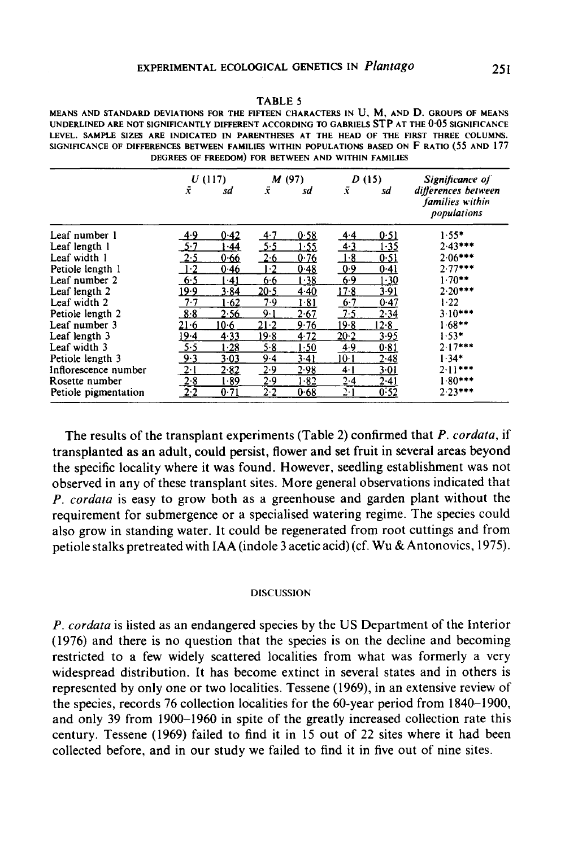**MEANS AND STANDARD DEVIATIONS FOR THE FIFTEEN CHARACTERS IN U, M, AND D. GROUPS OF MEANS UNDERLINED ARE NOT SIGNIFICANTLY DIFFERENT ACCORDING TO GABRIELS STP AT THE 0'05 SIGNIFICANCE LEVEL. SAMPLE SIZES ARE INDICATED IN PARENTHESES AT THE HEAD OF THE FIRST THREE COLUMNS. SIGNIFICANCE OF DIFFERENCES BETWEEN FAMILIES WITHIN POPULATIONS BASED ON F RATIO (55 AND** 177 **DEGREES OF FREEDOM) FOR BETWEEN AND WITHIN FAMILIES** 

|                      | U(117)                 |          | M(97)     |      | D(15)     |          | Significance of                                       |
|----------------------|------------------------|----------|-----------|------|-----------|----------|-------------------------------------------------------|
|                      | Ã                      | sd       | $\bar{x}$ | sd   | $\bar{x}$ | sd       | differences between<br>families within<br>populations |
| Leaf number 1        | 4.9                    | 0.42     | 4.7       | 0.58 | 4.4       | 0.51     | $1.55*$                                               |
| Leaf length 1        | 5.7                    | $-44$    | 5.5       | 1.55 | 4.3       | 1.35     | $2.43***$                                             |
| Leaf width 1         | 2.5                    | 0.66     | 2.6       | 0.76 | 1.8       | 0.51     | $2.06***$                                             |
| Petiole length 1     | $1-2$                  | 0.46     | 1.2       | 0.48 | 0.9       | 0.41     | $2.77***$                                             |
| Leaf number 2        | 6.5                    | $-41$    | 6.6       | 1.38 | 6.9       | $1 - 30$ | $1.70**$                                              |
| Leaf length 2        | <u> 19.9</u>           | $3 - 84$ | 20.5      | 4.40 | $17-8$    | 3.91     | $2.20***$                                             |
| Leaf width 2         | 7.7                    | $-62$    | 7.9       | 1.81 | 6.7       | 0.47     | $1 - 22$                                              |
| Petiole length 2     | 8.8                    | 2.56     | 9.1       | 2.67 | 7.5       | 2.34     | $3.10***$                                             |
| Leaf number 3        | 21.6                   | $10-6$   | $21 - 2$  | 9.76 | $19-8$    | 12.8     | $1.68***$                                             |
| Leaf length 3        | 19.4                   | 4.33     | 19.8      | 4.72 | 20.2      | 3.95     | $1.53*$                                               |
| Leaf width 3         | 5.5                    | 1.28     | 5.8       | 1.50 | 4.9       | 0.81     | $2.17***$                                             |
| Petiole length 3     | 9.3                    | 3.03     | $9-4$     | 3.41 | $10-1$    | 2.48     | $1.34*$                                               |
| Inflorescence number | $\overline{2 \cdot 1}$ | 2.82     | 2.9       | 2.98 | 4. I      | $3-01$   | $2.11***$                                             |
| Rosette number       | $\overline{2.8}$       | 1.89     | 2.9       | 1.82 | 2.4       | 2.41     | $1.80***$                                             |
| Petiole pigmentation | 2.2                    | 0.71     | 2.2       | 0.68 | $2-1$     | 0.52     | $2.23***$                                             |

The results of the transplant experiments (Table 2) confirmed that *P. cordata,* if transplanted as an adult, could persist, flower and set fruit in several areas beyond the specific locality where it was found. However, seedling establishment was not observed in any of these transplant sites. More general observations indicated that *P. cordata* is easy to grow both as a greenhouse and garden plant without the requirement for submergence or a specialised watering regime. The species could also grow in standing water. It could be regenerated from root cuttings and from petiole stalks pretreated with IAA (indole 3 acetic acid) (cf. Wu & Antonovics, 1975).

#### DISCUSSION

*P. cordata* is listed as an endangered species by the US Department of the Interior (1976) and there is no question that the species is on the decline and becoming restricted to a few widely scattered localities from what was formerly a very widespread distribution. It has become extinct in several states and in others is represented by only one or two localities. Tessene (1969), in an extensive review of the species, records 76 collection localities for the 60-year period from 1840-1900, and only 39 from 1900-1960 in spite of the greatly increased collection rate this century. Tessene (1969) failed to find it in 15 out of 22 sites where it had been collected before, and in our study we failed to find it in five out of nine sites.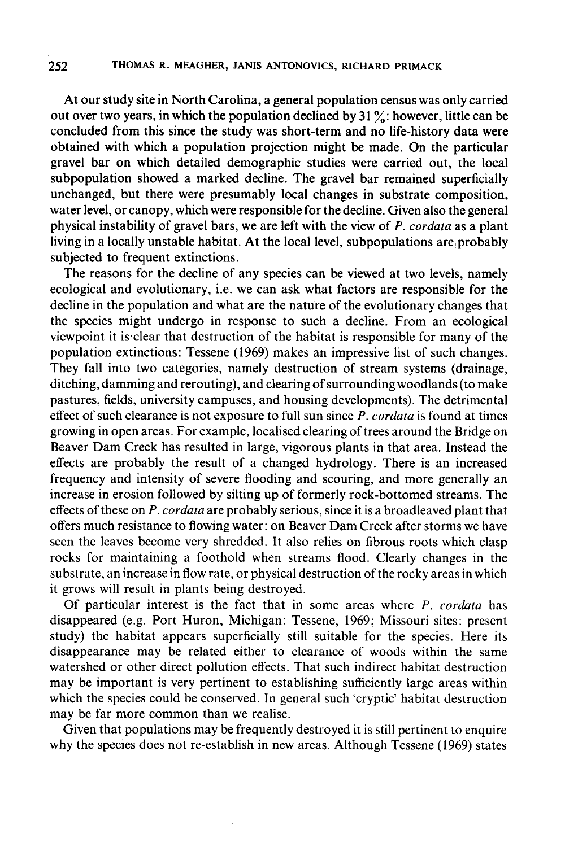At our study site in North Carolina, a general population census was only carried out over two years, in which the population declined by 31  $\frac{9}{10}$ : however, little can be concluded from this since the study was short-term and no life-history data were obtained with which a population projection might be made. On the particular gravel bar on which detailed demographic studies were carried out, the local subpopulation showed a marked decline. The gravel bar remained superficially unchanged, but there were presumably local changes in substrate composition, water level, or canopy, which were responsible for the decline. Given also the general physical instability of gravel bars, we are left with the view of *P. cordata* as a plant living in a locally unstable habitat. At the local level, subpopulations are probably subjected to frequent extinctions.

The reasons for the decline of any species can be viewed at two levels, namely ecological and evolutionary, i.e. we can ask what factors are responsible for the decline in the population and what are the nature of the evolutionary changes that the species might undergo in response to such a decline. From an ecological viewpoint it is,clear that destruction of the habitat is responsible for many of the population extinctions: Tessene (1969) makes an impressive list of such changes. They fall into two categories, namely destruction of stream systems (drainage, ditching, damming and rerouting), and clearing of surrounding woodlands (to make pastures, fields, university campuses, and housing developments). The detrimental effect of such clearance is not exposure to full sun since *P. cordata* is found at times growing in open areas. For example, localised clearing of trees around the Bridge on Beaver Dam Creek has resulted in large, vigorous plants in that area. Instead the effects are probably the result of a changed hydrology. There is an increased frequency and intensity of severe flooding and scouring, and more generally an increase in erosion followed by silting up of formerly rock-bottomed streams. The effects of these on *P. cordata* are probably serious, since it is a broadleaved plant that offers much resistance to flowing water: on Beaver Dam Creek after storms we have seen the leaves become very shredded. It also relies on fibrous roots which clasp rocks for maintaining a foothold when streams flood. Clearly changes in the substrate, an increase in flow rate, or physical destruction of the rocky areas in which it grows will result in plants being destroyed.

Of particular interest is the fact that in some areas where *P. cordata* has disappeared (e.g. Port Huron, Michigan: Tessene, 1969; Missouri sites: present study) the habitat appears superficially still suitable for the species. Here its disappearance may be related either to clearance of woods within the same watershed or other direct pollution effects. That such indirect habitat destruction may be important is very pertinent to establishing sufficiently large areas within which the species could be conserved. In general such 'cryptic' habitat destruction may be far more common than we realise.

Given that populations may be frequently destroyed it is still pertinent to enquire why the species does not re-establish in new areas. Although Tessene (1969) states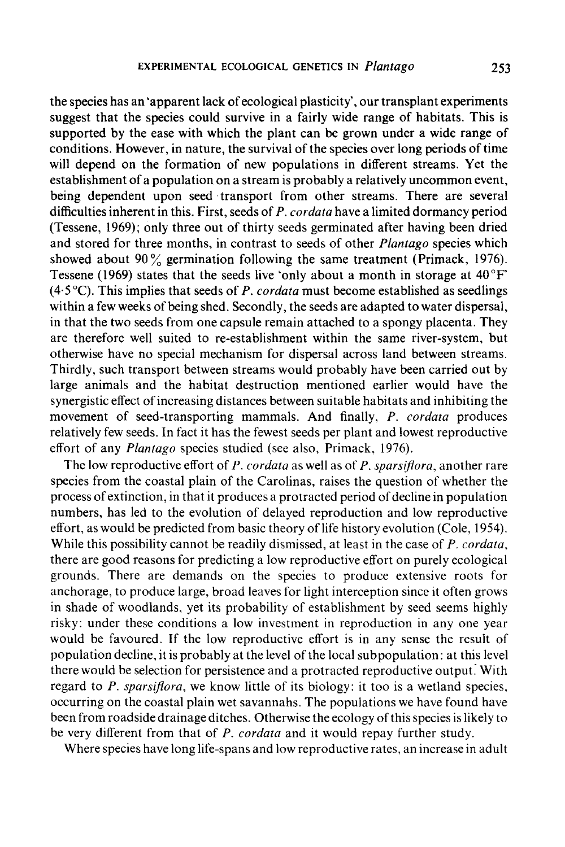the species has an ~apparent lack of ecological plasticity', our transplant experiments suggest that the species could survive in a fairly wide range of habitats. This is supported by the ease with which the plant can be grown under a wide range of conditions. However, in nature, the survival of the species over long periods of time will depend on the formation of new populations in different streams. Yet the establishment of a population on a stream is probably a relatively uncommon event, being dependent upon seed transport from other streams. There are several difficulties inherent in this. First, seeds of P. *cordata* have a limited dormancy period (Tessene, 1969); only three out of thirty seeds germinated after having been dried and stored for three months, in contrast to seeds of other *Plantago* species which showed about 90  $\frac{90}{6}$  germination following the same treatment (Primack, 1976). Tessene (1969) states that the seeds live 'only about a month in storage at  $40^{\circ}F$ ' (4.5 °C). This implies that seeds of *P. cordata* must become established as seedlings within a few weeks of being shed. Secondly, the seeds are adapted to water dispersal, in that the two seeds from one capsule remain attached to a spongy placenta. They are therefore well suited to re-establishment within the same river-system, but otherwise have no special mechanism for dispersal across land between streams. Thirdly, such transport between streams would probably have been carried out by large animals and the habitat destruction mentioned earlier would have the synergistic effect of increasing distances between suitable habitats and inhibiting the movement of seed-transporting mammals. And finally, *P. cordata* produces relatively few seeds. In fact it has the fewest seeds per plant and lowest reproductive effort of any *Plantago* species studied (see also, Primack, 1976).

The low reproductive effort of *P. cordata* as well as of *P. sparsiflora,* another rare species from the coastal plain of the Carolinas, raises the question of whether the process of extinction, in that it produces a protracted period of decline in population numbers, has led to the evolution of delayed reproduction and low reproductive effort, as would be predicted from basic theory of life history evolution (Cole, 1954). While this possibility cannot be readily dismissed, at least in the case of *P. cordata,*  there are good reasons for predicting a low reproductive effort on purely ecological grounds. There are demands on the species to produce extensive roots for anchorage, to produce large, broad leaves for light interception since it often grows in shade of woodlands, yet its probability of establishment by seed seems highly risky: under these conditions a low investment in reproduction in any one year would be favoured. If the low reproductive effort is in any sense the result of population decline, it is probably at the level of the local subpopulation : at this level there would be selection for persistence and a protracted reproductive output? With regard to *P. sparsiflora,* we know little of its biology: it too is a wetland species, occurring on the coastal plain wet savannahs. The populations we have found have been from roadside drainage ditches. Otherwise the ecology of this species is likely to be very different from that of *P. cordata* and it would repay further study.

Where species have long life-spans and low reproductive rates, an increase in adult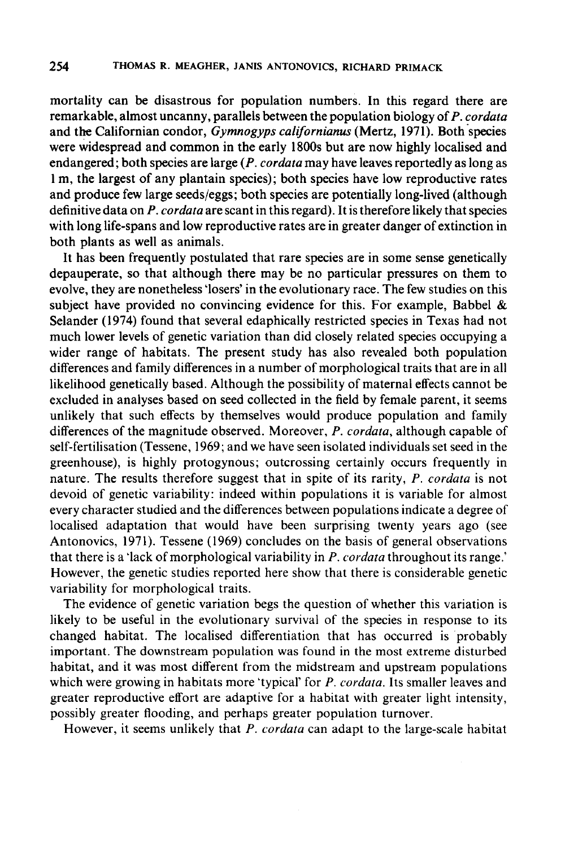mortality can be disastrous for population numbers. In this regard there are remarkable, almost uncanny, parallels between the population biology ofP. *cordata*  and the Californian condor, *Gymnogyps californianus* (Mertz, 1971). Both species were widespread and common in the early 1800s but are now highly localised and endangered; both species are large *(P. cordata* may have leaves reportedly as long as I m, the largest of any plantain species); both species have low reproductive rates and produce few large seeds/eggs; both species are potentially long-lived (although definitive data on *P. cordata* are scant in this regard). It is therefore likely that species with long life-spans and low reproductive rates are in greater danger of extinction in both plants as well as animals.

It has been frequently postulated that rare species are in some sense genetically depauperate, so that although there may be no particular pressures on them to evolve, they are nonetheless 'losers' in the evolutionary race. The few studies on this subject have provided no convincing evidence for this. For example, Babbel  $\&$ Selander (1974) found that several edaphically restricted species in Texas had not much lower levels of genetic variation than did closely related species occupying a wider range of habitats. The present study has also revealed both population differences and family differences in a number of morphological traits that are in all likelihood genetically based. Although the possibility of maternal effects cannot be excluded in analyses based on seed collected in the field by female parent, it seems unlikely that such effects by themselves would produce population and family differences of the magnitude observed. Moreover, *P. cordata,* although capable of self-fertilisation (Tessene, 1969; and we have seen isolated individuals set seed in the greenhouse), is highly protogynous; outcrossing certainly occurs frequently in nature. The results therefore suggest that in spite of its rarity, *P. cordata* is not devoid of genetic variability: indeed within populations it is variable for almost every character studied and the differences between populations indicate a degree of localised adaptation that would have been surprising twenty years ago (see Antonovics, 1971). Tessene (1969) concludes on the basis of general observations that there is a 'lack of morphological variability in *P. cordata* throughout its range.' However, the genetic studies reported here show that there is considerable genetic variability for morphological traits.

The evidence of genetic variation begs the question of whether this variation is likely to be useful in the evolutionary survival of the species in response to its changed habitat. The localised differentiation that has occurred is probably important. The downstream population was found in the most extreme disturbed habitat, and it was most different from the midstream and upstream populations which were growing in habitats more "typical' for *P. cordata.* Its smaller leaves and greater reproductive effort are adaptive for a habitat with greater light intensity, possibly greater flooding, and perhaps greater population turnover.

However, it seems unlikely that *P. cordata* can adapt to the large-scale habitat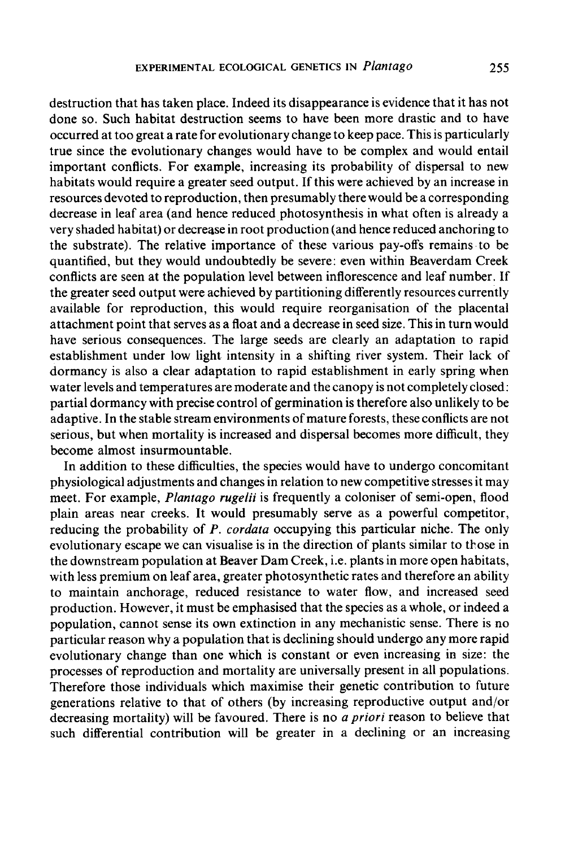destruction that has taken place. Indeed its disappearance is evidence that it has not done so. Such habitat destruction seems to have been more drastic and to have occurred at too great a rate for evolutionary change to keep pace. This is particularly true since the evolutionary changes would have to be complex and would entail important conflicts. For example, increasing its probability of dispersal to new habitats would require a greater seed output. If this were achieved by an increase in resources devoted to reproduction, then presumably there would be a corresponding decrease in leaf area (and hence reduced photosynthesis in what often is already a very shaded habitat) or decrease in root production (and hence reduced anchoring to the substrate). The relative importance of these various pay-offs remains to be quantified, but they would undoubtedly be severe: even within Beaverdam Creek conflicts are seen at the population level between inflorescence and leaf number. If the greater seed output were achieved by partitioning differently resources currently available for reproduction, this would require reorganisation of the placental attachment point that serves as a float and a decrease in seed size. This in turn would have serious consequences. The large seeds are clearly an adaptation to rapid establishment under low light intensity in a shifting river system. Their lack of dormancy is also a clear adaptation to rapid establishment in early spring when water levels and temperatures are moderate and the canopy is not completely closed: partial dormancy with precise control of germination is therefore also unlikely to be adaptive. In the stable stream environments of mature forests, these conflicts are not serious, but when mortality is increased and dispersal becomes more difficult, they become almost insurmountable.

In addition to these difficulties, the species would have to undergo concomitant physiological adjustments and changes in relation to new competitive stresses it may meet. For example, *Plantago rugelii* is frequently a coloniser of semi-open, flood plain areas near creeks. It would presumably serve as a powerful competitor, reducing the probability of *P. cordata* occupying this particular niche. The only evolutionary escape we can visualise is in the direction of plants similar to those in the downstream population at Beaver Dam Creek, i.e. plants in more open habitats, with less premium on leaf area, greater photosynthetic rates and therefore an ability to maintain anchorage, reduced resistance to water flow, and increased seed production. However, it must be emphasised that the species as a whole, or indeed a population, cannot sense its own extinction in any mechanistic sense. There is no particular reason why a population that is declining should undergo any more rapid evolutionary change than one which is constant or even increasing in size: the processes of reproduction and mortality are universally present in all populations. Therefore those individuals which maximise their genetic contribution to future generations relative to that of others (by increasing reproductive output and/or decreasing mortality) will be favoured. There is no *a priori* reason to believe that such differential contribution will be greater in a declining or an increasing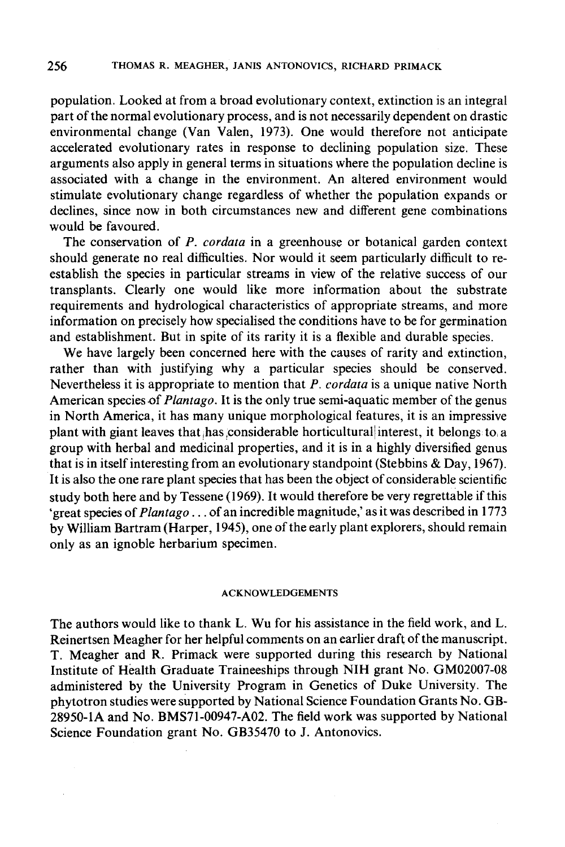population. Looked at from a broad evolutionary context, extinction is an integral part of the normal evolutionary process, and is not necessarily dependent on drastic environmental change (Van Valen, 1973). One would therefore not anticipate accelerated evolutionary rates in response to declining population size. These arguments also apply in general terms in situations where the population decline is associated with a change in the environment. An altered environment would stimulate evolutionary change regardless of whether the population expands or declines, since now in both circumstances new and different gene combinations would be favoured.

The conservation of *P. cordata* in a greenhouse or botanical garden context should generate no real difficulties. Nor would it seem particularly difficult to reestablish the species in particular streams in view of the relative success of our transplants. Clearly one would like more information about the substrate requirements and hydrological characteristics of appropriate streams, and more information on precisely how specialised the conditions have to be for germination and establishment. But in spite of its rarity it is a flexible and durable species.

We have largely been concerned here with the causes of rarity and extinction, rather than with justifying why a particular species should be conserved. Nevertheless it is appropriate to mention that *P. cordata* is a unique native North American species of *Plantago.* It is the only true semi-aquatic member of the genus in North America, it has many unique morphological features, it is an impressive plant with giant leaves that has considerable horticultural interest, it belongs to a group with herbal and medicinal properties, and it is in a highly diversified genus that is in itself interesting from an evolutionary standpoint (Stebbins & Day, 1967). It is also the one rare plant species that has been the object of considerable scientific study both here and by Tessene (1969). It would therefore be very regrettable if this 'great species of *Plantago...* of an incredible magnitude,' as it was described in 1773 by William Bartram (Harper, 1945), one of the early plant explorers, should remain only as an ignoble herbarium specimen.

# ACKNOWLEDGEMENTS

The authors would like to thank L. Wu for his assistance in the field work, and L. Reinertsen Meagher for her helpful comments on an earlier draft of the manuscript. T. Meagher and R. Primack were supported during this research by National Institute of Health Graduate Traineeships through NIH grant No. GM02007-08 administered by the University Program in Genetics of Duke University. The phytotron studies were supported by National Science Foundation Grants No. GB-28950-1A and No. BMS71-00947-A02. The field work was supported by National Science Foundation grant No. GB35470 to J. Antonovics.